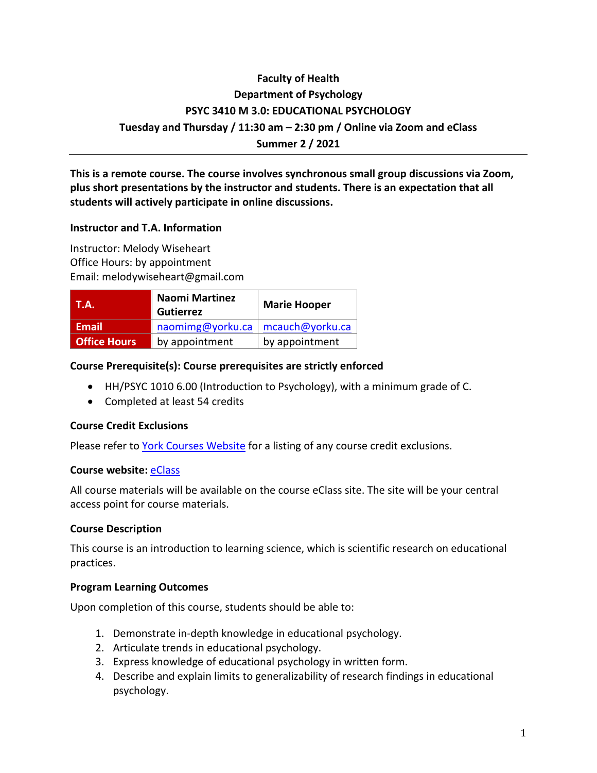# **Faculty of Health Department of Psychology PSYC 3410 M 3.0: EDUCATIONAL PSYCHOLOGY Tuesday and Thursday / 11:30 am – 2:30 pm / Online via Zoom and eClass Summer 2 / 2021**

**This is a remote course. The course involves synchronous small group discussions via Zoom, plus short presentations by the instructor and students. There is an expectation that all students will actively participate in online discussions.**

#### **Instructor and T.A. Information**

Instructor: Melody Wiseheart Office Hours: by appointment Email: melodywiseheart@gmail.com

| <b>T.A.</b>         | <b>Naomi Martinez</b><br><b>Gutierrez</b> | <b>Marie Hooper</b>     |
|---------------------|-------------------------------------------|-------------------------|
| Email               | naomimg@yorku.ca                          | $\vert$ mcauch@yorku.ca |
| <b>Office Hours</b> | by appointment                            | by appointment          |

#### **Course Prerequisite(s): Course prerequisites are strictly enforced**

- HH/PSYC 1010 6.00 (Introduction to Psychology), with a minimum grade of C.
- Completed at least 54 credits

#### **Course Credit Exclusions**

Please refer to York Courses Website for a listing of any course credit exclusions.

#### **Course website:** eClass

All course materials will be available on the course eClass site. The site will be your central access point for course materials.

#### **Course Description**

This course is an introduction to learning science, which is scientific research on educational practices.

#### **Program Learning Outcomes**

Upon completion of this course, students should be able to:

- 1. Demonstrate in-depth knowledge in educational psychology.
- 2. Articulate trends in educational psychology.
- 3. Express knowledge of educational psychology in written form.
- 4. Describe and explain limits to generalizability of research findings in educational psychology.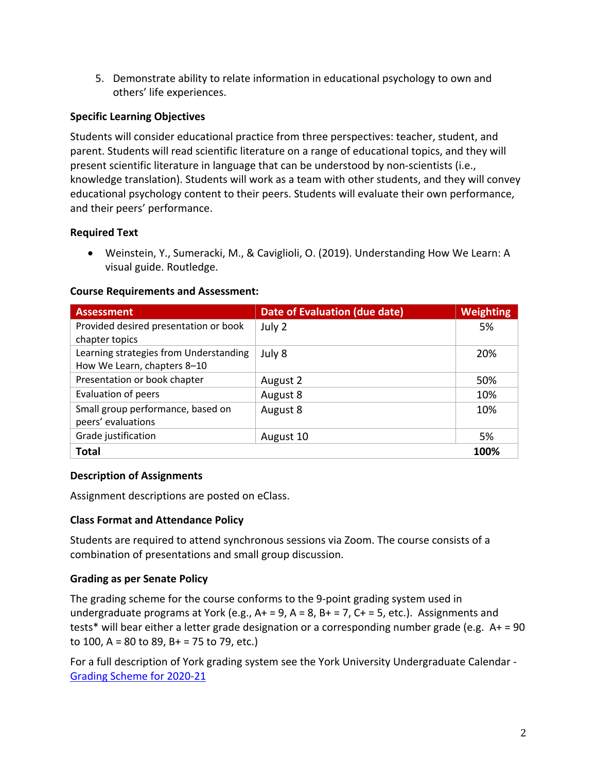5. Demonstrate ability to relate information in educational psychology to own and others' life experiences.

### **Specific Learning Objectives**

Students will consider educational practice from three perspectives: teacher, student, and parent. Students will read scientific literature on a range of educational topics, and they will present scientific literature in language that can be understood by non-scientists (i.e., knowledge translation). Students will work as a team with other students, and they will convey educational psychology content to their peers. Students will evaluate their own performance, and their peers' performance.

### **Required Text**

• Weinstein, Y., Sumeracki, M., & Caviglioli, O. (2019). Understanding How We Learn: A visual guide. Routledge.

#### **Course Requirements and Assessment:**

| <b>Assessment</b>                      | Date of Evaluation (due date) | <b>Weighting</b> |
|----------------------------------------|-------------------------------|------------------|
| Provided desired presentation or book  | July 2                        | 5%               |
| chapter topics                         |                               |                  |
| Learning strategies from Understanding | July 8                        | 20%              |
| How We Learn, chapters 8-10            |                               |                  |
| Presentation or book chapter           | August 2                      | 50%              |
| <b>Evaluation of peers</b>             | August 8                      | 10%              |
| Small group performance, based on      | August 8                      | 10%              |
| peers' evaluations                     |                               |                  |
| Grade justification                    | August 10                     | 5%               |
| <b>Total</b>                           |                               | 100%             |

### **Description of Assignments**

Assignment descriptions are posted on eClass.

### **Class Format and Attendance Policy**

Students are required to attend synchronous sessions via Zoom. The course consists of a combination of presentations and small group discussion.

### **Grading as per Senate Policy**

The grading scheme for the course conforms to the 9-point grading system used in undergraduate programs at York (e.g.,  $A+ = 9$ ,  $A = 8$ ,  $B+ = 7$ ,  $C+ = 5$ , etc.). Assignments and tests\* will bear either a letter grade designation or a corresponding number grade (e.g. A+ = 90 to 100, A = 80 to 89, B + = 75 to 79, etc.)

For a full description of York grading system see the York University Undergraduate Calendar - Grading Scheme for 2020-21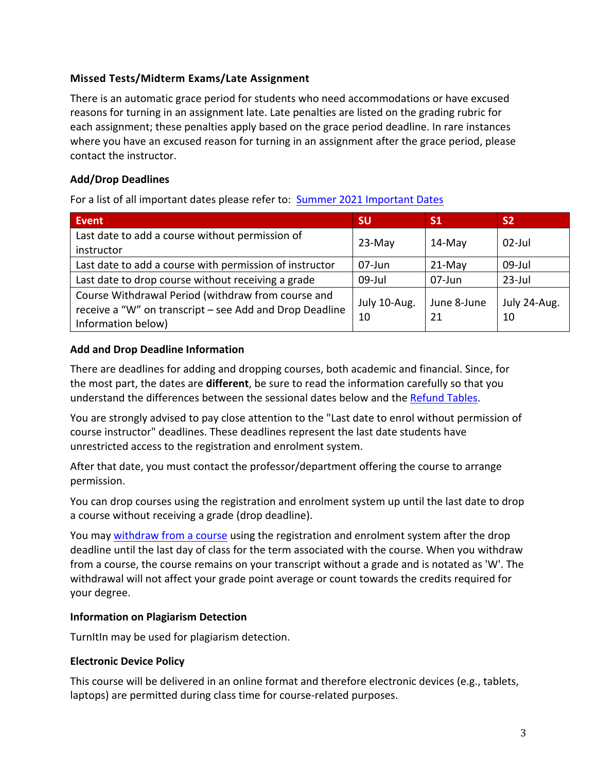### **Missed Tests/Midterm Exams/Late Assignment**

There is an automatic grace period for students who need accommodations or have excused reasons for turning in an assignment late. Late penalties are listed on the grading rubric for each assignment; these penalties apply based on the grace period deadline. In rare instances where you have an excused reason for turning in an assignment after the grace period, please contact the instructor.

### **Add/Drop Deadlines**

For a list of all important dates please refer to: Summer 2021 Important Dates

| <b>Event</b>                                                                                                                        | <b>SU</b>          | <b>S1</b>         | <b>S2</b>          |
|-------------------------------------------------------------------------------------------------------------------------------------|--------------------|-------------------|--------------------|
| Last date to add a course without permission of<br>instructor                                                                       | $23-May$           | $14$ -May         | $02$ -Jul          |
| Last date to add a course with permission of instructor                                                                             | 07-Jun             | $21-May$          | $09$ -Jul          |
| Last date to drop course without receiving a grade                                                                                  | $09$ -Jul          | 07-Jun            | $23$ -Jul          |
| Course Withdrawal Period (withdraw from course and<br>receive a "W" on transcript - see Add and Drop Deadline<br>Information below) | July 10-Aug.<br>10 | June 8-June<br>21 | July 24-Aug.<br>10 |

### **Add and Drop Deadline Information**

There are deadlines for adding and dropping courses, both academic and financial. Since, for the most part, the dates are **different**, be sure to read the information carefully so that you understand the differences between the sessional dates below and the Refund Tables.

You are strongly advised to pay close attention to the "Last date to enrol without permission of course instructor" deadlines. These deadlines represent the last date students have unrestricted access to the registration and enrolment system.

After that date, you must contact the professor/department offering the course to arrange permission.

You can drop courses using the registration and enrolment system up until the last date to drop a course without receiving a grade (drop deadline).

You may withdraw from a course using the registration and enrolment system after the drop deadline until the last day of class for the term associated with the course. When you withdraw from a course, the course remains on your transcript without a grade and is notated as 'W'. The withdrawal will not affect your grade point average or count towards the credits required for your degree.

### **Information on Plagiarism Detection**

TurnItIn may be used for plagiarism detection.

### **Electronic Device Policy**

This course will be delivered in an online format and therefore electronic devices (e.g., tablets, laptops) are permitted during class time for course-related purposes.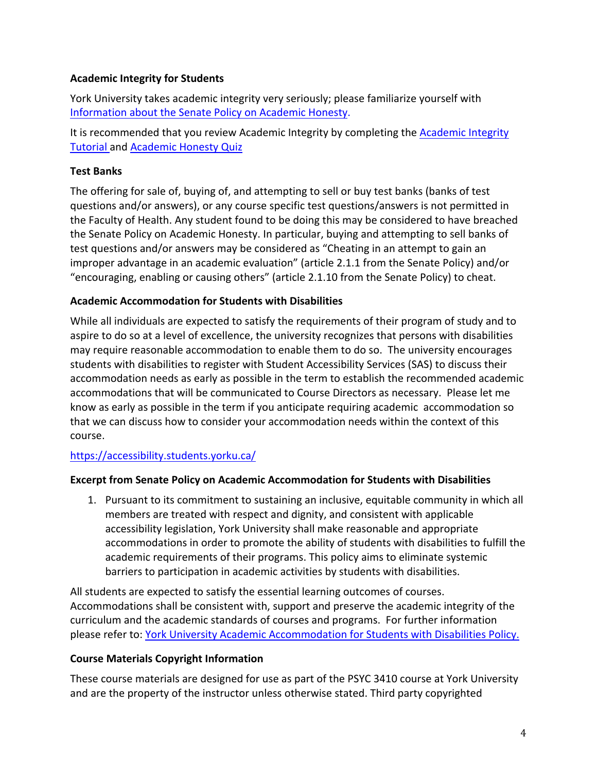### **Academic Integrity for Students**

York University takes academic integrity very seriously; please familiarize yourself with Information about the Senate Policy on Academic Honesty.

It is recommended that you review Academic Integrity by completing the **Academic Integrity** Tutorial and Academic Honesty Quiz

### **Test Banks**

The offering for sale of, buying of, and attempting to sell or buy test banks (banks of test questions and/or answers), or any course specific test questions/answers is not permitted in the Faculty of Health. Any student found to be doing this may be considered to have breached the Senate Policy on Academic Honesty. In particular, buying and attempting to sell banks of test questions and/or answers may be considered as "Cheating in an attempt to gain an improper advantage in an academic evaluation" (article 2.1.1 from the Senate Policy) and/or "encouraging, enabling or causing others" (article 2.1.10 from the Senate Policy) to cheat.

### **Academic Accommodation for Students with Disabilities**

While all individuals are expected to satisfy the requirements of their program of study and to aspire to do so at a level of excellence, the university recognizes that persons with disabilities may require reasonable accommodation to enable them to do so. The university encourages students with disabilities to register with Student Accessibility Services (SAS) to discuss their accommodation needs as early as possible in the term to establish the recommended academic accommodations that will be communicated to Course Directors as necessary. Please let me know as early as possible in the term if you anticipate requiring academic accommodation so that we can discuss how to consider your accommodation needs within the context of this course.

### https://accessibility.students.yorku.ca/

### **Excerpt from Senate Policy on Academic Accommodation for Students with Disabilities**

1. Pursuant to its commitment to sustaining an inclusive, equitable community in which all members are treated with respect and dignity, and consistent with applicable accessibility legislation, York University shall make reasonable and appropriate accommodations in order to promote the ability of students with disabilities to fulfill the academic requirements of their programs. This policy aims to eliminate systemic barriers to participation in academic activities by students with disabilities.

All students are expected to satisfy the essential learning outcomes of courses. Accommodations shall be consistent with, support and preserve the academic integrity of the curriculum and the academic standards of courses and programs. For further information please refer to: York University Academic Accommodation for Students with Disabilities Policy.

### **Course Materials Copyright Information**

These course materials are designed for use as part of the PSYC 3410 course at York University and are the property of the instructor unless otherwise stated. Third party copyrighted